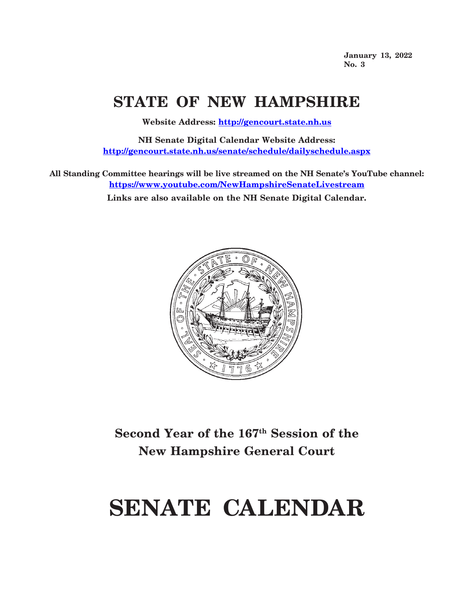**January 13, 2022 No. 3**

# **STATE OF NEW HAMPSHIRE**

**Website Address: <http://gencourt.state.nh.us>**

**NH Senate Digital Calendar Website Address: <http://gencourt.state.nh.us/senate/schedule/dailyschedule.aspx>**

**All Standing Committee hearings will be live streamed on the NH Senate's YouTube channel: <https://www.youtube.com/NewHampshireSenateLivestream> Links are also available on the NH Senate Digital Calendar.**



**Second Year of the 167th Session of the New Hampshire General Court**

# **SENATE CALENDAR**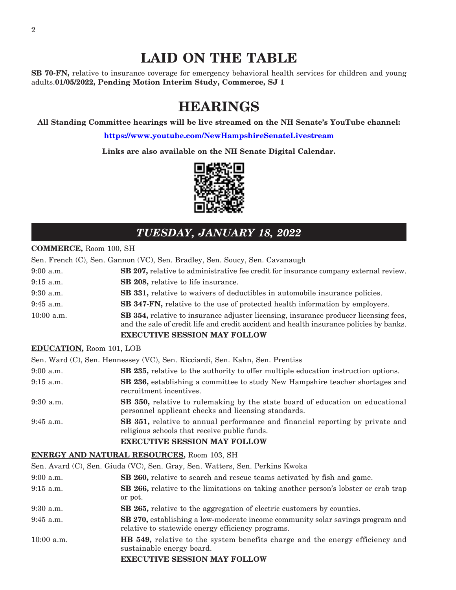# **LAID ON THE TABLE**

**SB 70-FN,** relative to insurance coverage for emergency behavioral health services for children and young adults.**01/05/2022, Pending Motion Interim Study, Commerce, SJ 1**

# **HEARINGS**

**All Standing Committee hearings will be live streamed on the NH Senate's YouTube channel:**

**<https://www.youtube.com/NewHampshireSenateLivestream>**

**Links are also available on the NH Senate Digital Calendar.**



# *TUESDAY, JANUARY 18, 2022*

#### **COMMERCE,** Room 100, SH

|              | Sen. French (C), Sen. Gannon (VC), Sen. Bradley, Sen. Soucy, Sen. Cavanaugh                                                                                                            |
|--------------|----------------------------------------------------------------------------------------------------------------------------------------------------------------------------------------|
| $9:00$ a.m.  | <b>SB 207, relative to administrative fee credit for insurance company external review.</b>                                                                                            |
| $9:15$ a.m.  | SB 208, relative to life insurance.                                                                                                                                                    |
| $9:30$ a.m.  | <b>SB 331, relative to waivers of deductibles in automobile insurance policies.</b>                                                                                                    |
| $9:45$ a.m.  | <b>SB 347-FN,</b> relative to the use of protected health information by employers.                                                                                                    |
| $10:00$ a.m. | <b>SB 354, relative to insurance adjuster licensing, insurance producer licensing fees,</b><br>and the sale of credit life and credit accident and health insurance policies by banks. |
|              | <b>EXECUTIVE SESSION MAY FOLLOW</b>                                                                                                                                                    |

#### **EDUCATION,** Room 101, LOB

Sen. Ward (C), Sen. Hennessey (VC), Sen. Ricciardi, Sen. Kahn, Sen. Prentiss

| $9:00$ a.m. | <b>SB 235,</b> relative to the authority to offer multiple education instruction options.                                            |
|-------------|--------------------------------------------------------------------------------------------------------------------------------------|
| $9:15$ a.m. | <b>SB 236,</b> establishing a committee to study New Hampshire teacher shortages and<br>recruitment incentives.                      |
| $9:30$ a.m. | SB 350, relative to rulemaking by the state board of education on educational<br>personnel applicant checks and licensing standards. |
| $9:45$ a.m. | <b>SB 351, relative to annual performance and financial reporting by private and</b><br>religious schools that receive public funds. |
|             | <b>EXECUTIVE SESSION MAY FOLLOW</b>                                                                                                  |

#### **ENERGY AND NATURAL RESOURCES,** Room 103, SH

Sen. Avard (C), Sen. Giuda (VC), Sen. Gray, Sen. Watters, Sen. Perkins Kwoka

| $9:00$ a.m.  | <b>SB 260,</b> relative to search and rescue teams activated by fish and game.                                                             |
|--------------|--------------------------------------------------------------------------------------------------------------------------------------------|
| $9:15$ a.m.  | <b>SB 266,</b> relative to the limitations on taking another person's lobster or crab trap<br>or pot.                                      |
| 9:30 a.m.    | SB 265, relative to the aggregation of electric customers by counties.                                                                     |
| $9:45$ a.m.  | <b>SB 270,</b> establishing a low-moderate income community solar savings program and<br>relative to statewide energy efficiency programs. |
| $10:00$ a.m. | <b>HB</b> 549, relative to the system benefits charge and the energy efficiency and<br>sustainable energy board.                           |
|              | <b>EXECUTIVE SESSION MAY FOLLOW</b>                                                                                                        |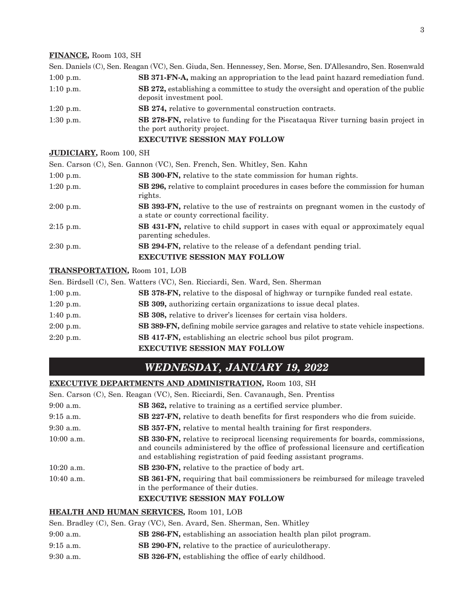#### **FINANCE,** Room 103, SH

|             | Sen. Daniels (C), Sen. Reagan (VC), Sen. Giuda, Sen. Hennessey, Sen. Morse, Sen. D'Allesandro, Sen. Rosenwald          |
|-------------|------------------------------------------------------------------------------------------------------------------------|
| $1:00$ p.m. | <b>SB 371-FN-A</b> , making an appropriation to the lead paint hazard remediation fund.                                |
| $1:10$ p.m. | <b>SB 272,</b> establishing a committee to study the oversight and operation of the public<br>deposit investment pool. |
| $1:20$ p.m. | <b>SB 274, relative to governmental construction contracts.</b>                                                        |
| $1:30$ p.m. | <b>SB 278-FN,</b> relative to funding for the Piscatagua River turning basin project in<br>the port authority project. |
|             | <b>EXECUTIVE SESSION MAY FOLLOW</b>                                                                                    |

#### **JUDICIARY,** Room 100, SH

|             | Sen. Carson (C), Sen. Gannon (VC), Sen. French, Sen. Whitley, Sen. Kahn                                                             |
|-------------|-------------------------------------------------------------------------------------------------------------------------------------|
| $1:00$ p.m. | SB 300-FN, relative to the state commission for human rights.                                                                       |
| $1:20$ p.m. | <b>SB 296, relative to complaint procedures in cases before the commission for human</b><br>rights.                                 |
| $2:00$ p.m. | <b>SB 393-FN,</b> relative to the use of restraints on pregnant women in the custody of<br>a state or county correctional facility. |
| $2:15$ p.m. | <b>SB 431-FN,</b> relative to child support in cases with equal or approximately equal<br>parenting schedules.                      |
| $2:30$ p.m. | <b>SB 294-FN, relative to the release of a defendant pending trial.</b>                                                             |
|             | <b>EXECUTIVE SESSION MAY FOLLOW</b>                                                                                                 |

#### **TRANSPORTATION,** Room 101, LOB

Sen. Birdsell (C), Sen. Watters (VC), Sen. Ricciardi, Sen. Ward, Sen. Sherman

|             | <b>EXECUTIVE SESSION MAY FOLLOW</b>                                                   |
|-------------|---------------------------------------------------------------------------------------|
| $2:20$ p.m. | <b>SB 417-FN</b> , establishing an electric school bus pilot program.                 |
| $2:00$ p.m. | SB 389-FN, defining mobile service garages and relative to state vehicle inspections. |
| 1:40 p.m.   | SB 308, relative to driver's licenses for certain visa holders.                       |
| 1:20 p.m.   | <b>SB 309, authorizing certain organizations to issue decal plates.</b>               |
| $1:00$ p.m. | <b>SB 378-FN,</b> relative to the disposal of highway or turnpike funded real estate. |

# *WEDNESDAY, JANUARY 19, 2022*

#### **EXECUTIVE DEPARTMENTS AND ADMINISTRATION,** Room 103, SH

|              | Sen. Carson (C), Sen. Reagan (VC), Sen. Ricciardi, Sen. Cavanaugh, Sen. Prentiss                                                                                                                                                                     |
|--------------|------------------------------------------------------------------------------------------------------------------------------------------------------------------------------------------------------------------------------------------------------|
| $9:00$ a.m.  | SB 362, relative to training as a certified service plumber.                                                                                                                                                                                         |
| $9:15$ a.m.  | SB 227-FN, relative to death benefits for first responders who die from suicide.                                                                                                                                                                     |
| $9:30$ a.m.  | SB 357-FN, relative to mental health training for first responders.                                                                                                                                                                                  |
| $10:00$ a.m. | <b>SB 330-FN,</b> relative to reciprocal licensing requirements for boards, commissions,<br>and councils administered by the office of professional licensure and certification<br>and establishing registration of paid feeding assistant programs. |
| $10:20$ a.m. | <b>SB 230-FN, relative to the practice of body art.</b>                                                                                                                                                                                              |
| $10:40$ a.m. | <b>SB 361-FN, requiring that bail commissioners be reimbursed for mileage traveled</b><br>in the performance of their duties.<br><b>EXECUTIVE SESSION MAY FOLLOW</b>                                                                                 |
|              |                                                                                                                                                                                                                                                      |

#### **HEALTH AND HUMAN SERVICES,** Room 101, LOB

Sen. Bradley (C), Sen. Gray (VC), Sen. Avard, Sen. Sherman, Sen. Whitley

- 9:00 a.m. **SB 286-FN,** establishing an association health plan pilot program.
- 9:15 a.m. **SB 290-FN,** relative to the practice of auriculotherapy.
- 9:30 a.m. **SB 326-FN,** establishing the office of early childhood.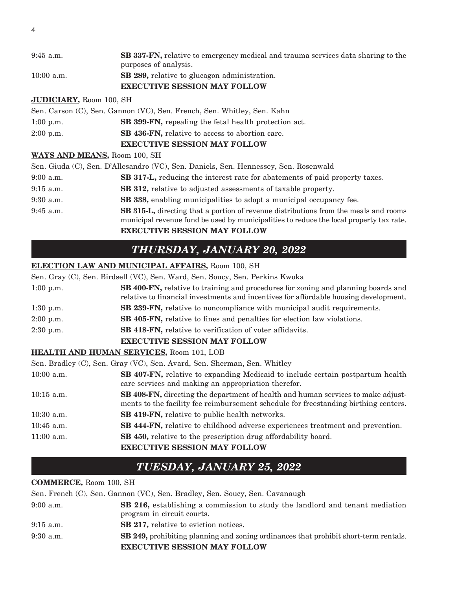| 9:45 a.m.    | <b>SB 337-FN,</b> relative to emergency medical and trauma services data sharing to the<br>purposes of analysis. |
|--------------|------------------------------------------------------------------------------------------------------------------|
| $10:00$ a.m. | SB 289, relative to glucagon administration.                                                                     |
|              | <b>EXECUTIVE SESSION MAY FOLLOW</b>                                                                              |

#### **JUDICIARY,** Room 100, SH

|             | Sen. Carson (C), Sen. Gannon (VC), Sen. French, Sen. Whitley, Sen. Kahn |
|-------------|-------------------------------------------------------------------------|
| $1:00$ p.m. | <b>SB 399-FN, repealing the fetal health protection act.</b>            |
| $2:00$ p.m. | SB 436-FN, relative to access to abortion care.                         |
|             | <b>EXECUTIVE SESSION MAY FOLLOW</b>                                     |

#### **WAYS AND MEANS,** Room 100, SH

|             | Sen. Giuda (C), Sen. D'Allesandro (VC), Sen. Daniels, Sen. Hennessey, Sen. Rosenwald                                                                                                   |
|-------------|----------------------------------------------------------------------------------------------------------------------------------------------------------------------------------------|
| $9:00$ a.m. | <b>SB 317-L,</b> reducing the interest rate for abatements of paid property taxes.                                                                                                     |
| $9:15$ a.m. | <b>SB 312, relative to adjusted assessments of taxable property.</b>                                                                                                                   |
| $9:30$ a.m. | SB 338, enabling municipalities to adopt a municipal occupancy fee.                                                                                                                    |
| $9:45$ a.m. | <b>SB 315-L,</b> directing that a portion of revenue distributions from the meals and rooms<br>municipal revenue fund be used by municipalities to reduce the local property tax rate. |
|             | <b>EXECUTIVE SESSION MAY FOLLOW</b>                                                                                                                                                    |

# *THURSDAY, JANUARY 20, 2022*

#### **ELECTION LAW AND MUNICIPAL AFFAIRS,** Room 100, SH

|             | Sen. Gray (C), Sen. Birdsell (VC), Sen. Ward, Sen. Soucy, Sen. Perkins Kwoka                                                                                                      |
|-------------|-----------------------------------------------------------------------------------------------------------------------------------------------------------------------------------|
| $1:00$ p.m. | <b>SB 400-FN</b> , relative to training and procedures for zoning and planning boards and<br>relative to financial investments and incentives for affordable housing development. |
| $1:30$ p.m. | SB 239-FN, relative to noncompliance with municipal audit requirements.                                                                                                           |
| $2:00$ p.m. | SB 405-FN, relative to fines and penalties for election law violations.                                                                                                           |
| $2:30$ p.m. | <b>SB 418-FN, relative to verification of voter affidavits.</b>                                                                                                                   |
|             | <b>EXECUTIVE SESSION MAY FOLLOW</b>                                                                                                                                               |
|             | HEALTH AND HUMAN SERVICES, Room 101, LOB                                                                                                                                          |
|             | Sen. Bradley (C), Sen. Gray (VC), Sen. Avard, Sen. Sherman, Sen. Whitley                                                                                                          |

| $10:00$ a.m. | <b>SB 407-FN, relative to expanding Medicaid to include certain postpartum health</b><br>care services and making an appropriation therefor.                                   |
|--------------|--------------------------------------------------------------------------------------------------------------------------------------------------------------------------------|
| $10:15$ a.m. | <b>SB 408-FN,</b> directing the department of health and human services to make adjust-<br>ments to the facility fee reimbursement schedule for freestanding birthing centers. |
| $10:30$ a.m. | SB 419-FN, relative to public health networks.                                                                                                                                 |
| $10:45$ a.m. | <b>SB 444-FN,</b> relative to childhood adverse experiences treatment and prevention.                                                                                          |
| $11:00$ a.m. | SB 450, relative to the prescription drug affordability board.                                                                                                                 |
|              | <b>EXECUTIVE SESSION MAY FOLLOW</b>                                                                                                                                            |

# *TUESDAY, JANUARY 25, 2022*

#### **COMMERCE,** Room 100, SH

|             | Sen. French (C), Sen. Gannon (VC), Sen. Bradley, Sen. Soucy, Sen. Cavanaugh                                                        |  |
|-------------|------------------------------------------------------------------------------------------------------------------------------------|--|
| $9:00$ a.m. | SB 216, establishing a commission to study the landlord and tenant mediation<br>program in circuit courts.                         |  |
| $9:15$ a.m. | <b>SB 217, relative to eviction notices.</b>                                                                                       |  |
| $9:30$ a.m. | <b>SB 249,</b> prohibiting planning and zoning ordinances that prohibit short-term rentals.<br><b>EXECUTIVE SESSION MAY FOLLOW</b> |  |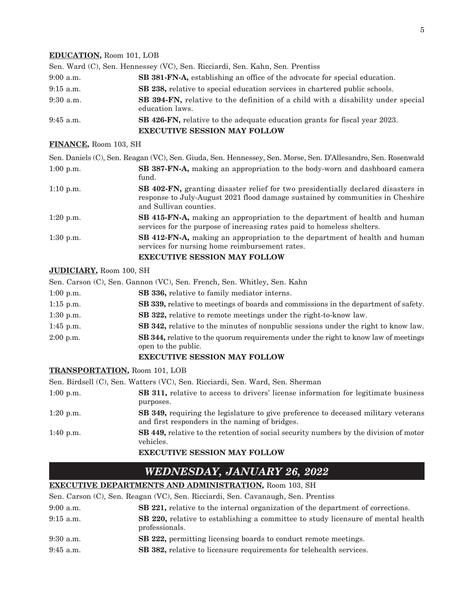#### **EDUCATION,** Room 101, LOB

|             | Sen. Ward (C), Sen. Hennessey (VC), Sen. Ricciardi, Sen. Kahn, Sen. Prentiss                               |  |
|-------------|------------------------------------------------------------------------------------------------------------|--|
| $9:00$ a.m. | SB 381-FN-A, establishing an office of the advocate for special education.                                 |  |
| $9:15$ a.m. | <b>SB 238,</b> relative to special education services in chartered public schools.                         |  |
| $9:30$ a.m. | <b>SB 394-FN,</b> relative to the definition of a child with a disability under special<br>education laws. |  |
| $9:45$ a.m. | SB 426-FN, relative to the adequate education grants for fiscal year 2023.                                 |  |
|             | <b>EXECUTIVE SESSION MAY FOLLOW</b>                                                                        |  |

#### **FINANCE,** Room 103, SH

|             | Sen. Daniels (C), Sen. Reagan (VC), Sen. Giuda, Sen. Hennessey, Sen. Morse, Sen. D'Allesandro, Sen. Rosenwald                                                                                       |  |
|-------------|-----------------------------------------------------------------------------------------------------------------------------------------------------------------------------------------------------|--|
| $1:00$ p.m. | <b>SB 387-FN-A,</b> making an appropriation to the body-worn and dashboard camera<br>fund.                                                                                                          |  |
| $1:10$ p.m. | <b>SB 402-FN, granting disaster relief for two presidentially declared disasters in</b><br>response to July-August 2021 flood damage sustained by communities in Cheshire<br>and Sullivan counties. |  |
| $1:20$ p.m. | <b>SB 415-FN-A</b> , making an appropriation to the department of health and human<br>services for the purpose of increasing rates paid to homeless shelters.                                       |  |
| $1:30$ p.m. | <b>SB 412-FN-A,</b> making an appropriation to the department of health and human<br>services for nursing home reimbursement rates.                                                                 |  |
|             | <b>EXECUTIVE SESSION MAY FOLLOW</b>                                                                                                                                                                 |  |

#### **JUDICIARY,** Room 100, SH

|                                                                                                                                  | Sen. Carson (C), Sen. Gannon (VC), Sen. French, Sen. Whitley, Sen. Kahn                    |  |  |
|----------------------------------------------------------------------------------------------------------------------------------|--------------------------------------------------------------------------------------------|--|--|
| $1:00$ p.m.                                                                                                                      | SB 336, relative to family mediator interns.                                               |  |  |
| $1:15$ p.m.                                                                                                                      | <b>SB 339, relative to meetings of boards and commissions in the department of safety.</b> |  |  |
| $1:30$ p.m.                                                                                                                      | SB 322, relative to remote meetings under the right-to-know law.                           |  |  |
| $1:45$ p.m.                                                                                                                      | <b>SB 342, relative to the minutes of nonpublic sessions under the right to know law.</b>  |  |  |
| <b>SB 344, relative to the quorum requirements under the right to know law of meetings</b><br>$2:00$ p.m.<br>open to the public. |                                                                                            |  |  |
|                                                                                                                                  | <b>EXECUTIVE SESSION MAY FOLLOW</b>                                                        |  |  |

#### **TRANSPORTATION,** Room 101, LOB

Sen. Birdsell (C), Sen. Watters (VC), Sen. Ricciardi, Sen. Ward, Sen. Sherman 1:00 p.m. **SB 311,** relative to access to drivers' license information for legitimate business purposes. 1:20 p.m. **SB 349,** requiring the legislature to give preference to deceased military veterans and first responders in the naming of bridges. 1:40 p.m. **SB 449,** relative to the retention of social security numbers by the division of motor vehicles. **EXECUTIVE SESSION MAY FOLLOW**

# *WEDNESDAY, JANUARY 26, 2022*

#### **EXECUTIVE DEPARTMENTS AND ADMINISTRATION,** Room 103, SH

|             | Sen. Carson (C), Sen. Reagan (VC), Sen. Ricciardi, Sen. Cavanaugh, Sen. Prentiss                          |
|-------------|-----------------------------------------------------------------------------------------------------------|
| $9:00$ a.m. | <b>SB 221,</b> relative to the internal organization of the department of corrections.                    |
| $9:15$ a.m. | <b>SB 220, relative to establishing a committee to study licensure of mental health</b><br>professionals. |
| $9:30$ a.m. | <b>SB 222, permitting licensing boards to conduct remote meetings.</b>                                    |
| $9:45$ a.m. | SB 382, relative to licensure requirements for telehealth services.                                       |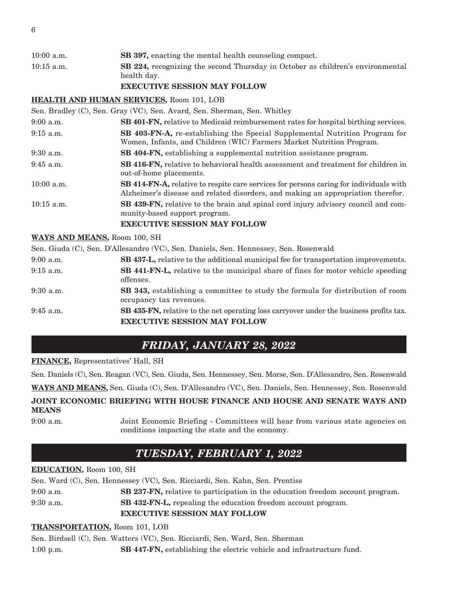| $10:00$ a.m. | <b>SB 397, enacting the mental health counseling compact.</b>                                        |  |
|--------------|------------------------------------------------------------------------------------------------------|--|
| $10:15$ a.m. | <b>SB 224, recognizing the second Thursday in October as children's environmental</b><br>health day. |  |
|              | <b>EVECUTIVE CECCLOM MAY EQUITAM</b>                                                                 |  |

#### **EXECUTIVE SESSION MAY FOLLOW**

#### **HEALTH AND HUMAN SERVICES,** Room 101, LOB

Sen. Bradley (C), Sen. Gray (VC), Sen. Avard, Sen. Sherman, Sen. Whitley

| $9:00$ a.m.  | <b>SB 401-FN, relative to Medicaid reimbursement rates for hospital birthing services.</b>                                                                                        |  |
|--------------|-----------------------------------------------------------------------------------------------------------------------------------------------------------------------------------|--|
| $9:15$ a.m.  | <b>SB 403-FN-A,</b> re-establishing the Special Supplemental Nutrition Program for<br>Women, Infants, and Children (WIC) Farmers Market Nutrition Program.                        |  |
| $9:30$ a.m.  | <b>SB 404-FN</b> , establishing a supplemental nutrition assistance program.                                                                                                      |  |
| $9:45$ a.m.  | <b>SB 416-FN, relative to behavioral health assessment and treatment for children in</b><br>out-of-home placements.                                                               |  |
| $10:00$ a.m. | <b>SB 414-FN-A,</b> relative to respite care services for persons caring for individuals with<br>Alzheimer's disease and related disorders, and making an appropriation therefor. |  |
| $10:15$ a.m. | <b>SB 439-FN,</b> relative to the brain and spinal cord injury advisory council and com-<br>munity-based support program.<br><b>EXECUTIVE SESSION MAY FOLLOW</b>                  |  |

#### **WAYS AND MEANS,** Room 100, SH

Sen. Giuda (C), Sen. D'Allesandro (VC), Sen. Daniels, Sen. Hennessey, Sen. Rosenwald

| $9:00$ a.m. | <b>SB 437-L, relative to the additional municipal fee for transportation improvements.</b>                       |  |
|-------------|------------------------------------------------------------------------------------------------------------------|--|
| $9:15$ a.m. | SB 441-FN-L, relative to the municipal share of fines for motor vehicle speeding<br>offenses.                    |  |
| $9:30$ a.m. | <b>SB 343,</b> establishing a committee to study the formula for distribution of room<br>occupancy tax revenues. |  |
| $9:45$ a.m. | SB 435-FN, relative to the net operating loss carryover under the business profits tax.                          |  |
|             | <b>EXECUTIVE SESSION MAY FOLLOW</b>                                                                              |  |

# *FRIDAY, JANUARY 28, 2022*

**FINANCE,** Representatives' Hall, SH

Sen. Daniels (C), Sen. Reagan (VC), Sen. Giuda, Sen. Hennessey, Sen. Morse, Sen. D'Allesandro, Sen. Rosenwald

**WAYS AND MEANS,** Sen. Giuda (C), Sen. D'Allesandro (VC), Sen. Daniels, Sen. Hennessey, Sen. Rosenwald

### **JOINT ECONOMIC BRIEFING WITH HOUSE FINANCE AND HOUSE AND SENATE WAYS AND MEANS**

9:00 a.m. Joint Economic Briefing - Committees will hear from various state agencies on conditions impacting the state and the economy.

# *TUESDAY, FEBRUARY 1, 2022*

#### **EDUCATION,** Room 100, SH

|             | Sen. Ward (C), Sen. Hennessey (VC), Sen. Ricciardi, Sen. Kahn, Sen. Prentiss          |  |
|-------------|---------------------------------------------------------------------------------------|--|
| $9:00$ a.m. | <b>SB 237-FN,</b> relative to participation in the education freedom account program. |  |
| $9:30$ a.m. | <b>SB 432-FN-L</b> , repealing the education freedom account program.                 |  |
|             | <b>EXECUTIVE SESSION MAY FOLLOW</b>                                                   |  |

#### **TRANSPORTATION,** Room 101, LOB

Sen. Birdsell (C), Sen. Watters (VC), Sen. Ricciardi, Sen. Ward, Sen. Sherman

1:00 p.m. **SB 447-FN,** establishing the electric vehicle and infrastructure fund.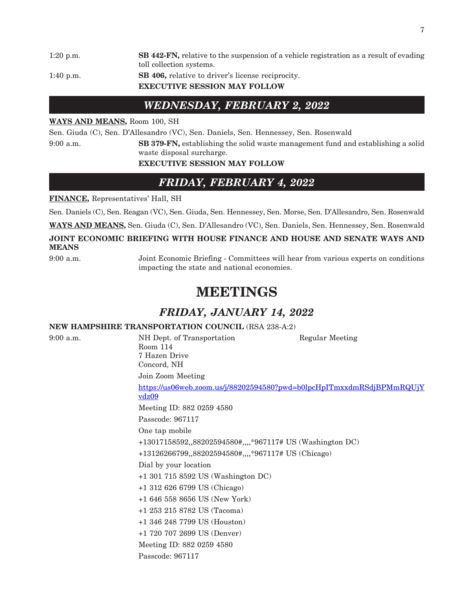1:20 p.m. **SB 442-FN,** relative to the suspension of a vehicle registration as a result of evading toll collection systems. 1:40 p.m. **SB 406,** relative to driver's license reciprocity. **EXECUTIVE SESSION MAY FOLLOW**

### *WEDNESDAY, FEBRUARY 2, 2022*

#### **WAYS AND MEANS,** Room 100, SH

Sen. Giuda (C), Sen. D'Allesandro (VC), Sen. Daniels, Sen. Hennessey, Sen. Rosenwald

9:00 a.m. **SB 379-FN,** establishing the solid waste management fund and establishing a solid waste disposal surcharge.

#### **EXECUTIVE SESSION MAY FOLLOW**

# *FRIDAY, FEBRUARY 4, 2022*

#### **FINANCE,** Representatives' Hall, SH

Sen. Daniels (C), Sen. Reagan (VC), Sen. Giuda, Sen. Hennessey, Sen. Morse, Sen. D'Allesandro, Sen. Rosenwald

**WAYS AND MEANS,** Sen. Giuda (C), Sen. D'Allesandro (VC), Sen. Daniels, Sen. Hennessey, Sen. Rosenwald

#### **JOINT ECONOMIC BRIEFING WITH HOUSE FINANCE AND HOUSE AND SENATE WAYS AND MEANS**

9:00 a.m. Joint Economic Briefing - Committees will hear from various experts on conditions impacting the state and national economies.

# **MEETINGS**

# *FRIDAY, JANUARY 14, 2022*

#### **NEW HAMPSHIRE TRANSPORTATION COUNCIL** (RSA 238-A:2)

9:00 a.m. NH Dept. of Transportation Regular Meeting Room 114 7 Hazen Drive Concord, NH Join Zoom Meeting [https://us06web.zoom.us/j/88202594580?pwd=b0lpcHpITmxxdmRSdjBPMmRQUjY](https://us06web.zoom.us/j/88202594580?pwd=b0lpcHpITmxxdmRSdjBPMmRQUjYvdz09) [vdz09](https://us06web.zoom.us/j/88202594580?pwd=b0lpcHpITmxxdmRSdjBPMmRQUjYvdz09) Meeting ID: 882 0259 4580 Passcode: 967117 One tap mobile +13017158592,,88202594580#,,,,\*967117# US (Washington DC) +13126266799,,88202594580#,,,,\*967117# US (Chicago) Dial by your location +1 301 715 8592 US (Washington DC) +1 312 626 6799 US (Chicago) +1 646 558 8656 US (New York) +1 253 215 8782 US (Tacoma) +1 346 248 7799 US (Houston) +1 720 707 2699 US (Denver) Meeting ID: 882 0259 4580 Passcode: 967117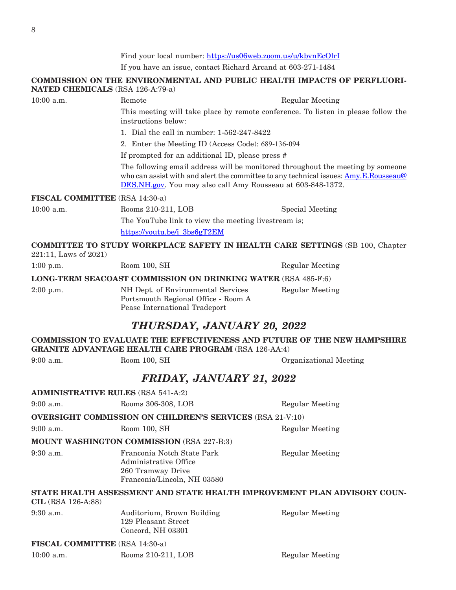Find your local number: <https://us06web.zoom.us/u/kbvnEcOlrI>

If you have an issue, contact Richard Arcand at 603-271-1484

#### **COMMISSION ON THE ENVIRONMENTAL AND PUBLIC HEALTH IMPACTS OF PERFLUORI-NATED CHEMICALS** (RSA 126-A:79-a)

10:00 a.m. Remote Regular Meeting

This meeting will take place by remote conference. To listen in please follow the instructions below:

1. Dial the call in number: 1-562-247-8422

2. Enter the Meeting ID (Access Code): 689-136-094

If prompted for an additional ID, please press #

The following email address will be monitored throughout the meeting by someone who can assist with and alert the committee to any technical issues: [Amy.E.Rousseau@](mailto:Amy.E.Rousseau@DES.NH.gov) [DES.NH.gov](mailto:Amy.E.Rousseau@DES.NH.gov). You may also call Amy Rousseau at 603-848-1372.

#### **FISCAL COMMITTEE** (RSA 14:30-a)

10:00 a.m. Rooms 210-211, LOB Special Meeting The YouTube link to view the meeting livestream is; [https://youtu.be/i\\_3bs6gT2EM](https://youtu.be/i_3bs6gT2EM)

Pease International Tradeport

#### **COMMITTEE TO STUDY WORKPLACE SAFETY IN HEALTH CARE SETTINGS** (SB 100, Chapter 221:11, Laws of 2021)

| $1:00$ p.m. | Room 100, SH                                                              | Regular Meeting |
|-------------|---------------------------------------------------------------------------|-----------------|
|             | LONG-TERM SEACOAST COMMISSION ON DRINKING WATER (RSA 485-F:6)             |                 |
| $2:00$ p.m. | NH Dept. of Environmental Services<br>Portsmouth Regional Office - Room A | Regular Meeting |

### *THURSDAY, JANUARY 20, 2022*

#### **COMMISSION TO EVALUATE THE EFFECTIVENESS AND FUTURE OF THE NEW HAMPSHIRE GRANITE ADVANTAGE HEALTH CARE PROGRAM** (RSA 126-AA:4)

9:00 a.m. Room 100, SH Organizational Meeting

### *FRIDAY, JANUARY 21, 2022*

| <b>ADMINISTRATIVE RULES (RSA 541-A:2)</b> |                                                                                                         |                 |
|-------------------------------------------|---------------------------------------------------------------------------------------------------------|-----------------|
| $9:00$ a.m.                               | Rooms 306-308, LOB                                                                                      | Regular Meeting |
|                                           | <b>OVERSIGHT COMMISSION ON CHILDREN'S SERVICES (RSA 21-V:10)</b>                                        |                 |
| 9:00 a.m.                                 | Room 100, SH                                                                                            | Regular Meeting |
|                                           | <b>MOUNT WASHINGTON COMMISSION (RSA 227-B:3)</b>                                                        |                 |
| $9:30$ a.m.                               | Franconia Notch State Park<br>Administrative Office<br>260 Tramway Drive<br>Franconia/Lincoln, NH 03580 | Regular Meeting |
| $CIL$ (RSA 126-A:88)                      | STATE HEALTH ASSESSMENT AND STATE HEALTH IMPROVEMENT PLAN ADVISORY COUN-                                |                 |
| $9:30$ a.m.                               | Auditorium, Brown Building<br>129 Pleasant Street<br>Concord, NH 03301                                  | Regular Meeting |
| <b>FIGCAL COMMITTEE</b> (DCA 14.90 s)     |                                                                                                         |                 |

**FISCAL COMMITTEE** (RSA 14:30-a)

10:00 a.m. Rooms 210-211, LOB Regular Meeting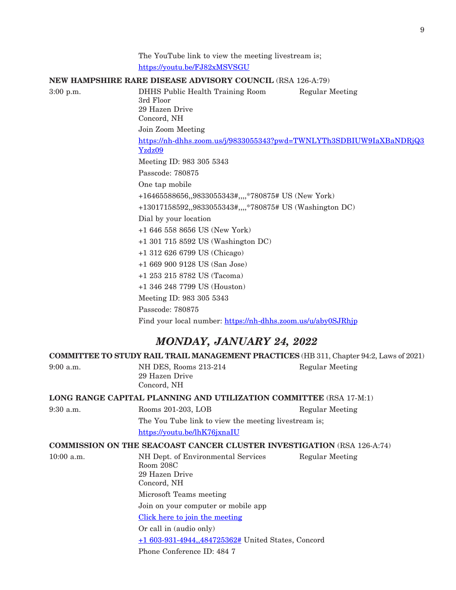The YouTube link to view the meeting livestream is; <https://youtu.be/FJ82xMSVSGU>

#### **NEW HAMPSHIRE RARE DISEASE ADVISORY COUNCIL** (RSA 126-A:79)

3:00 p.m. DHHS Public Health Training Room Regular Meeting 3rd Floor 29 Hazen Drive Concord, NH Join Zoom Meeting [https://nh-dhhs.zoom.us/j/9833055343?pwd=TWNLYTh3SDBIUW9IaXBaNDRjQ3](https://nh-dhhs.zoom.us/j/9833055343?pwd=TWNLYTh3SDBIUW9IaXBaNDRjQ3Yzdz09) [Yzdz09](https://nh-dhhs.zoom.us/j/9833055343?pwd=TWNLYTh3SDBIUW9IaXBaNDRjQ3Yzdz09) Meeting ID: 983 305 5343 Passcode: 780875 One tap mobile +16465588656,,9833055343#,,,,\*780875# US (New York) +13017158592,,9833055343#,,,,\*780875# US (Washington DC) Dial by your location +1 646 558 8656 US (New York) +1 301 715 8592 US (Washington DC) +1 312 626 6799 US (Chicago) +1 669 900 9128 US (San Jose) +1 253 215 8782 US (Tacoma) +1 346 248 7799 US (Houston) Meeting ID: 983 305 5343 Passcode: 780875

Find your local number: <https://nh-dhhs.zoom.us/u/aby0SJRhjp>

### *MONDAY, JANUARY 24, 2022*

**COMMITTEE TO STUDY RAIL TRAIL MANAGEMENT PRACTICES** (HB 311, Chapter 94:2, Laws of 2021)

9:00 a.m. **NH DES, Rooms 213-214** Regular Meeting 29 Hazen Drive Concord, NH

**LONG RANGE CAPITAL PLANNING AND UTILIZATION COMMITTEE** (RSA 17-M:1)

9:30 a.m. Rooms 201-203, LOB Regular Meeting The You Tube link to view the meeting livestream is; <https://youtu.be/lhK76jxnaIU>

#### **COMMISSION ON THE SEACOAST CANCER CLUSTER INVESTIGATION** (RSA 126-A:74)

10:00 a.m. NH Dept. of Environmental Services Regular Meeting Room 208C 29 Hazen Drive Concord, NH Microsoft Teams meeting Join on your computer or mobile app [Click here to join the meeting](https://us-east-2.protection.sophos.com?d=microsoft.com&u=aHR0cHM6Ly90ZWFtcy5taWNyb3NvZnQuY29tL2wvbWVldHVwLWpvaW4vMTklM2FtZWV0aW5nX09EUmxNalpsTW1RdE1UVXlZeTAwTm1VeExXSXdZekl0TlRaaFkyWXpOMlkwWldJMyU0MHRocmVhZC52Mi8wP2NvbnRleHQ9JTdiJTIyVGlkJTIyJTNhJTIyOTkyZGVhZTktMWM0Yy00MmM4LWEzMTAtNTA4OGFmNTViYTc0JTIyJTJjJTIyT2lkJTIyJTNhJTIyMzgwZmM3MTQtZDkzYy00ZWUyLWJhZTQtODUzN2U5ZjNkMTU5JTIyJTdk&i=NWRmN2M1OGRjNDMxOGEwZGMyZjVmYjJj&t=eDcwY2NjQkFBL2lBU1Q0NkkwQ0p1V3Q2VzlFOGRYZnVSOEZzdGd2T2pzST0=&h=2d5a877f9fdb4e818f73205521901b46) Or call in (audio only) [+1 603-931-4944,,484725362#](tel:+16039314944,,484725362) United States, Concord Phone Conference ID: 484 7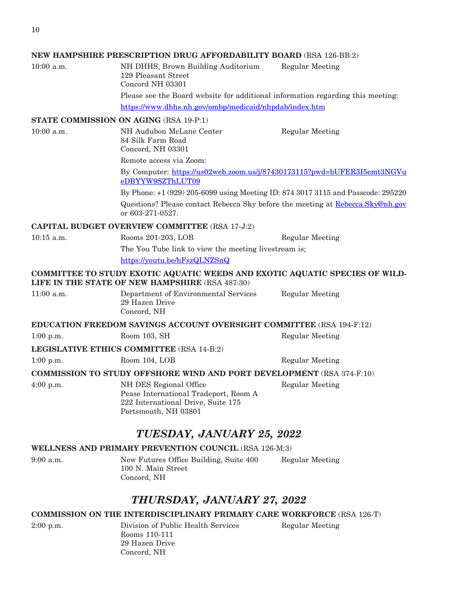#### **NEW HAMPSHIRE PRESCRIPTION DRUG AFFORDABILITY BOARD** (RSA 126-BB:2)

10:00 a.m. NH DHHS, Brown Building Auditorium Regular Meeting 129 Pleasant Street Concord NH 03301

NH Audubon McLane Center Regular Meeting

Please see the Board website for additional information regarding this meeting: <https://www.dhhs.nh.gov/ombp/medicaid/nhpdab/index.htm>

#### **STATE COMMISSION ON AGING** (RSA 19-P:1)

| $10:00 \text{ a.m.}$ |  |  |  |
|----------------------|--|--|--|
|----------------------|--|--|--|

84 Silk Farm Road Concord, NH 03301

Remote access via Zoom:

By Computer: [https://us02web.zoom.us/j/87430173115?pwd=bUFER3I5emt3NGVu](https://urldefense.com/v3/__https:/us02web.zoom.us/j/87430173115?pwd=bUFER3I5emt3NGVueDBYYW9SZThLUT09__;!!Oai6dtTQULp8Sw!HGvcGc6U-N52ymPltOOOqq8DjnzweecGJjFeWeQdKUeLqx33Fa5zW-gC0T3aM4t8kQOqNg$) [eDBYYW9SZThLUT09](https://urldefense.com/v3/__https:/us02web.zoom.us/j/87430173115?pwd=bUFER3I5emt3NGVueDBYYW9SZThLUT09__;!!Oai6dtTQULp8Sw!HGvcGc6U-N52ymPltOOOqq8DjnzweecGJjFeWeQdKUeLqx33Fa5zW-gC0T3aM4t8kQOqNg$)

By Phone: +1 (929) 205-6099 using Meeting ID: 874 3017 3115 and Passcode: 295220

Questions? Please contact Rebecca Sky before the meeting at [Rebecca.Sky@nh.gov](mailto:Rebecca.Sky@nh.gov) or 603-271-0527.

#### **CAPITAL BUDGET OVERVIEW COMMITTEE** (RSA 17-J:2)

10:15 a.m. Rooms 201-203, LOB Regular Meeting

The You Tube link to view the meeting livestream is;

<https://youtu.be/hFszQLNZSnQ>

#### **COMMITTEE TO STUDY EXOTIC AQUATIC WEEDS AND EXOTIC AQUATIC SPECIES OF WILD-LIFE IN THE STATE OF NEW HAMPSHIRE** (RSA 487:30)

11:00 a.m. Department of Environmental Services Regular Meeting 29 Hazen Drive Concord, NH

**EDUCATION FREEDOM SAVINGS ACCOUNT OVERSIGHT COMMITTEE** (RSA 194-F:12)

1:00 p.m. Room 103, SH Regular Meeting

**LEGISLATIVE ETHICS COMMITTEE** (RSA 14-B:2)

1:00 p.m. Room 104, LOB Regular Meeting

#### **COMMISSION TO STUDY OFFSHORE WIND AND PORT DEVELOPMENT** (RSA 374-F:10)

4:00 p.m. NH DES Regional Office Regular Meeting Pease International Tradeport, Room A 222 International Drive, Suite 175 Portsmouth, NH 03801

# *TUESDAY, JANUARY 25, 2022*

#### **WELLNESS AND PRIMARY PREVENTION COUNCIL** (RSA 126-M:3)

9:00 a.m. New Futures Office Building, Suite 400 Regular Meeting 100 N. Main Street Concord, NH

### *THURSDAY, JANUARY 27, 2022*

#### **COMMISSION ON THE INTERDISCIPLINARY PRIMARY CARE WORKFORCE** (RSA 126-T)

2:00 p.m. Division of Public Health Services Regular Meeting Rooms 110-111 29 Hazen Drive Concord, NH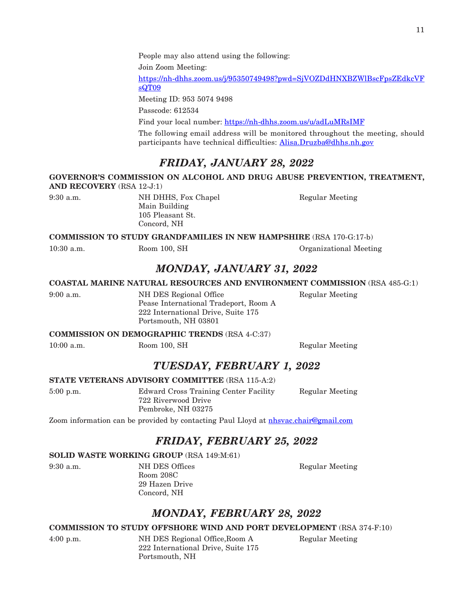People may also attend using the following:

Join Zoom Meeting:

[https://nh-dhhs.zoom.us/j/95350749498?pwd=SjVOZDdHNXBZWlBscFpsZEdkcVF](https://nh-dhhs.zoom.us/j/95350749498?pwd=SjVOZDdHNXBZWlBscFpsZEdkcVFsQT09) [sQT09](https://nh-dhhs.zoom.us/j/95350749498?pwd=SjVOZDdHNXBZWlBscFpsZEdkcVFsQT09)

Meeting ID: 953 5074 9498

Passcode: 612534

Find your local number: <https://nh-dhhs.zoom.us/u/adLuMRsIMF>

The following email address will be monitored throughout the meeting, should participants have technical difficulties: [Alisa.Druzba@dhhs.nh.gov](mailto:Alisa.Druzba@dhhs.nh.gov)

# *FRIDAY, JANUARY 28, 2022*

#### **GOVERNOR'S COMMISSION ON ALCOHOL AND DRUG ABUSE PREVENTION, TREATMENT, AND RECOVERY** (RSA 12-J:1)

9:30 a.m. NH DHHS, Fox Chapel Regular Meeting Main Building 105 Pleasant St. Concord, NH

**COMMISSION TO STUDY GRANDFAMILIES IN NEW HAMPSHIRE** (RSA 170-G:17-b)

10:30 a.m. Room 100, SH Organizational Meeting

*MONDAY, JANUARY 31, 2022*

#### **COASTAL MARINE NATURAL RESOURCES AND ENVIRONMENT COMMISSION** (RSA 485-G:1)

9:00 a.m. NH DES Regional Office Regular Meeting Pease International Tradeport, Room A 222 International Drive, Suite 175 Portsmouth, NH 03801

#### **COMMISSION ON DEMOGRAPHIC TRENDS** (RSA 4-C:37)

10:00 a.m. Room 100, SH Regular Meeting

### *TUESDAY, FEBRUARY 1, 2022*

#### **STATE VETERANS ADVISORY COMMITTEE** (RSA 115-A:2)

5:00 p.m. Edward Cross Training Center Facility Regular Meeting 722 Riverwood Drive Pembroke, NH 03275

Zoom information can be provided by contacting Paul Lloyd at [nhsvac.chair@gmail.com](mailto:nhsvac.chair@gmail.com)

# *FRIDAY, FEBRUARY 25, 2022*

#### **SOLID WASTE WORKING GROUP** (RSA 149:M:61)

9:30 a.m. NH DES Offices Regular Meeting Room 208C 29 Hazen Drive Concord, NH

# *MONDAY, FEBRUARY 28, 2022*

#### **COMMISSION TO STUDY OFFSHORE WIND AND PORT DEVELOPMENT** (RSA 374-F:10)

4:00 p.m. NH DES Regional Office,Room A Regular Meeting 222 International Drive, Suite 175 Portsmouth, NH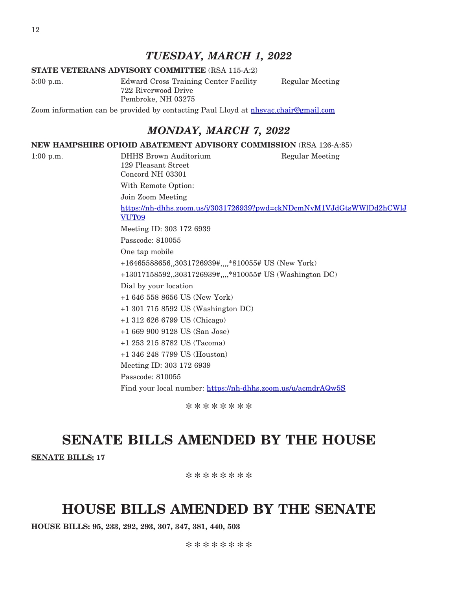### *TUESDAY, MARCH 1, 2022*

#### **STATE VETERANS ADVISORY COMMITTEE** (RSA 115-A:2)

5:00 p.m. Edward Cross Training Center Facility Regular Meeting 722 Riverwood Drive Pembroke, NH 03275

Zoom information can be provided by contacting Paul Lloyd at [nhsvac.chair@gmail.com](mailto:nhsvac.chair@gmail.com)

### *MONDAY, MARCH 7, 2022*

#### **NEW HAMPSHIRE OPIOID ABATEMENT ADVISORY COMMISSION** (RSA 126-A:85)

1:00 p.m. DHHS Brown Auditorium Regular Meeting 129 Pleasant Street Concord NH 03301 With Remote Option: Join Zoom Meeting [https://nh-dhhs.zoom.us/j/3031726939?pwd=ckNDcmNyM1VJdGtsWWlDd2hCWlJ](https://nh-dhhs.zoom.us/j/3031726939?pwd=ckNDcmNyM1VJdGtsWWlDd2hCWlJVUT09) [VUT09](https://nh-dhhs.zoom.us/j/3031726939?pwd=ckNDcmNyM1VJdGtsWWlDd2hCWlJVUT09) Meeting ID: 303 172 6939 Passcode: 810055 One tap mobile +16465588656,,3031726939#,,,,\*810055# US (New York) +13017158592,,3031726939#,,,,\*810055# US (Washington DC) Dial by your location +1 646 558 8656 US (New York) +1 301 715 8592 US (Washington DC) +1 312 626 6799 US (Chicago) +1 669 900 9128 US (San Jose) +1 253 215 8782 US (Tacoma) +1 346 248 7799 US (Houston) Meeting ID: 303 172 6939 Passcode: 810055 Find your local number: <https://nh-dhhs.zoom.us/u/acmdrAQw5S>

\*\*\*\*\*\*\*\*

# **SENATE BILLS AMENDED BY THE HOUSE**

**SENATE BILLS: 17**

\*\*\*\*\*\*\*\*

# **HOUSE BILLS AMENDED BY THE SENATE**

**HOUSE BILLS: 95, 233, 292, 293, 307, 347, 381, 440, 503**

12